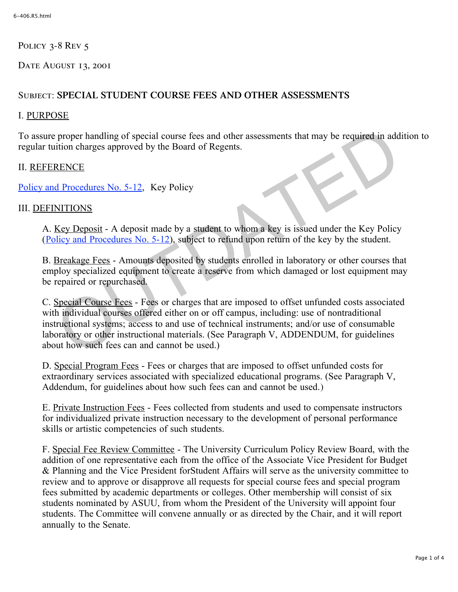POLICY 3-8 REV 5

DATE AUGUST 13, 2001

# Subject: **SPECIAL STUDENT COURSE FEES AND OTHER ASSESSMENTS**

### I. PURPOSE

To assure proper handling of special course fees and other assessments that may be required in addition to regular tuition charges approved by the Board of Regents.

## II. REFERENCE

Policy and Procedures No. 5-12, Key Policy

## III. DEFINITIONS

A. Key Deposit - A deposit made by a student to whom a key is issued under the Key Policy (Policy and Procedures No. 5-12), subject to refund upon return of the key by the student.

B. Breakage Fees - Amounts deposited by students enrolled in laboratory or other courses that employ specialized equipment to create a reserve from which damaged or lost equipment may be repaired or repurchased.

C. Special Course Fees - Fees or charges that are imposed to offset unfunded costs associated with individual courses offered either on or off campus, including: use of nontraditional instructional systems; access to and use of technical instruments; and/or use of consumable laboratory or other instructional materials. (See Paragraph V, ADDENDUM, for guidelines about how such fees can and cannot be used.) proper handling of special course fees and other assessments that may be required in add<br>tition charges approved by the Board of Regents.<br>
<u>RENCE</u><br>
d Procedures No. 5-12, Key Policy<br>
NI[T](http://www.regulations.utah.edu/administration/3-234.html)IONS<br>
Key Deposit - A deposit made b

D. Special Program Fees - Fees or charges that are imposed to offset unfunded costs for extraordinary services associated with specialized educational programs. (See Paragraph V, Addendum, for guidelines about how such fees can and cannot be used.)

E. Private Instruction Fees - Fees collected from students and used to compensate instructors for individualized private instruction necessary to the development of personal performance skills or artistic competencies of such students.

F. Special Fee Review Committee - The University Curriculum Policy Review Board, with the addition of one representative each from the office of the Associate Vice President for Budget & Planning and the Vice President forStudent Affairs will serve as the university committee to review and to approve or disapprove all requests for special course fees and special program fees submitted by academic departments or colleges. Other membership will consist of six students nominated by ASUU, from whom the President of the University will appoint four students. The Committee will convene annually or as directed by the Chair, and it will report annually to the Senate.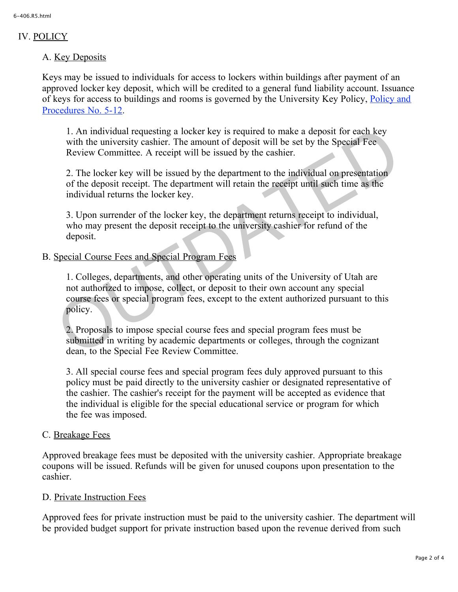## IV. POLICY

## A. Key Deposits

Keys may be issued to individuals for access to lockers within buildings after payment of an approved locker key deposit, which will be credited to a general fund liability account. Issuance of keys for access to buildings and rooms is governed by the University Key Polic[y, Policy and](http://www.regulations.utah.edu/administration/3-234.html) [Procedures No. 5-12.](http://www.regulations.utah.edu/administration/3-234.html)

1. An individual requesting a locker key is required to make a deposit for each key with the university cashier. The amount of deposit will be set by the Special Fee Review Committee. A receipt will be issued by the cashier.

2. The locker key will be issued by the department to the individual on presentation of the deposit receipt. The department will retain the receipt until such time as the individual returns the locker key.

3. Upon surrender of the locker key, the department returns receipt to individual, who may present the deposit receipt to the university cashier for refund of the deposit.

B. Special Course Fees and Special Program Fees

1. Colleges, departments, and other operating units of the University of Utah are not authorized to impose, collect, or deposit to their own account any special course fees or special program fees, except to the extent authorized pursuant to this policy. 1. An individual requesting a locker key is required to make a deposit for each key<br>with the university cashier. The amount of deposit will be set by the Special Fee<br>Review Committee. A receipt will be issued by the cashie

2. Proposals to impose special course fees and special program fees must be submitted in writing by academic departments or colleges, through the cognizant dean, to the Special Fee Review Committee.

3. All special course fees and special program fees duly approved pursuant to this policy must be paid directly to the university cashier or designated representative of the cashier. The cashier's receipt for the payment will be accepted as evidence that the individual is eligible for the special educational service or program for which the fee was imposed.

### C. Breakage Fees

Approved breakage fees must be deposited with the university cashier. Appropriate breakage coupons will be issued. Refunds will be given for unused coupons upon presentation to the cashier.

### D. Private Instruction Fees

Approved fees for private instruction must be paid to the university cashier. The department will be provided budget support for private instruction based upon the revenue derived from such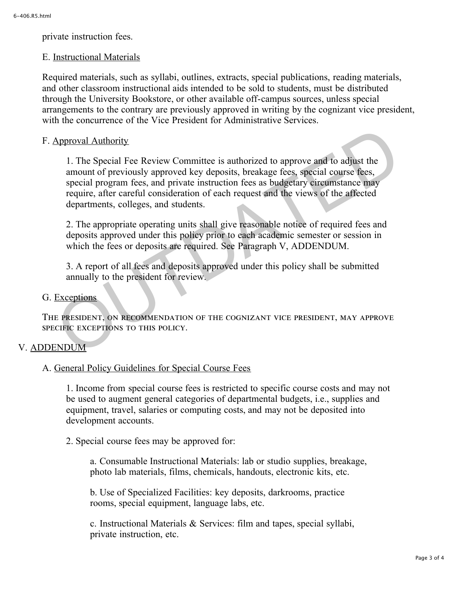private instruction fees.

#### E. Instructional Materials

Required materials, such as syllabi, outlines, extracts, special publications, reading materials, and other classroom instructional aids intended to be sold to students, must be distributed through the University Bookstore, or other available off-campus sources, unless special arrangements to the contrary are previously approved in writing by the cognizant vice president, with the concurrence of the Vice President for Administrative Services.

### F. Approval Authority

1. The Special Fee Review Committee is authorized to approve and to adjust the amount of previously approved key deposits, breakage fees, special course fees, special program fees, and private instruction fees as budgetary circumstance may require, after careful consideration of each request and the views of the affected departments, colleges, and students. Approval Authority<br>
1. The Special Fee Review Committee is authorized to approve and to adjust the<br>
amount of previously approved key deposits, breakage fees, special course fees,<br>
special program fees, and private instruc

2. The appropriate operating units shall give reasonable notice of required fees and deposits approved under this policy prior to each academic semester or session in which the fees or deposits are required. See Paragraph V, ADDENDUM.

3. A report of all fees and deposits approved under this policy shall be submitted annually to the president for review.

#### G. Exceptions

The president, on recommendation of the cognizant vice president, may approve specific exceptions to this policy.

#### V. ADDENDUM

#### A. General Policy Guidelines for Special Course Fees

1. Income from special course fees is restricted to specific course costs and may not be used to augment general categories of departmental budgets, i.e., supplies and equipment, travel, salaries or computing costs, and may not be deposited into development accounts.

2. Special course fees may be approved for:

a. Consumable Instructional Materials: lab or studio supplies, breakage, photo lab materials, films, chemicals, handouts, electronic kits, etc.

b. Use of Specialized Facilities: key deposits, darkrooms, practice rooms, special equipment, language labs, etc.

c. Instructional Materials & Services: film and tapes, special syllabi, private instruction, etc.